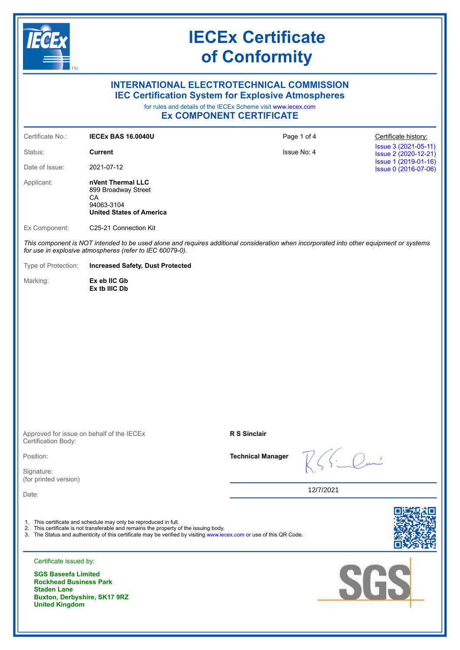

### **INTERNATIONAL ELECTROTECHNICAL COMMISSION IEC Certification System for Explosive Atmospheres**

for rules and details of the IECEx Scheme visit [www.iecex.com](https://www.iecex.com)

### **Ex COMPONENT CERTIFICATE**

| Certificate No.:                                                                                                                                                                                                                                                                  | <b>IECEX BAS 16.0040U</b>                                                                       | Page 1 of 4              |                     | Certificate history:                         |  |
|-----------------------------------------------------------------------------------------------------------------------------------------------------------------------------------------------------------------------------------------------------------------------------------|-------------------------------------------------------------------------------------------------|--------------------------|---------------------|----------------------------------------------|--|
| Status:                                                                                                                                                                                                                                                                           | <b>Current</b>                                                                                  | Issue No: 4              |                     | Issue 3 (2021-05-11)<br>Issue 2 (2020-12-21) |  |
| Date of Issue:                                                                                                                                                                                                                                                                    | 2021-07-12                                                                                      |                          |                     | Issue 1 (2019-01-16)<br>Issue 0 (2016-07-06) |  |
| Applicant:                                                                                                                                                                                                                                                                        | nVent Thermal LLC<br>899 Broadway Street<br>CA<br>94063-3104<br><b>United States of America</b> |                          |                     |                                              |  |
| Ex Component:                                                                                                                                                                                                                                                                     | C25-21 Connection Kit                                                                           |                          |                     |                                              |  |
| This component is NOT intended to be used alone and requires additional consideration when incorporated into other equipment or systems<br>for use in explosive atmospheres (refer to IEC 60079-0).                                                                               |                                                                                                 |                          |                     |                                              |  |
| Type of Protection:                                                                                                                                                                                                                                                               | <b>Increased Safety, Dust Protected</b>                                                         |                          |                     |                                              |  |
| Marking:                                                                                                                                                                                                                                                                          | Ex eb IIC Gb<br>Ex tb IIIC Db                                                                   |                          |                     |                                              |  |
| Approved for issue on behalf of the IECEx                                                                                                                                                                                                                                         |                                                                                                 | <b>R S Sinclair</b>      |                     |                                              |  |
| Certification Body:                                                                                                                                                                                                                                                               |                                                                                                 |                          |                     |                                              |  |
| Position:                                                                                                                                                                                                                                                                         |                                                                                                 | <b>Technical Manager</b> | $R\leqslant$ in Run |                                              |  |
| Signature:<br>(for printed version)                                                                                                                                                                                                                                               |                                                                                                 |                          |                     |                                              |  |
| Date:                                                                                                                                                                                                                                                                             |                                                                                                 |                          | 12/7/2021           |                                              |  |
| 1. This certificate and schedule may only be reproduced in full.<br>2. This certificate is not transferable and remains the property of the issuing body.<br>3. The Status and authenticity of this certificate may be verified by visiting www.iecex.com or use of this QR Code. |                                                                                                 |                          |                     |                                              |  |
| Certificate issued by:                                                                                                                                                                                                                                                            |                                                                                                 |                          |                     |                                              |  |
| <b>SGS Baseefa Limited</b><br><b>Rockhead Business Park</b><br><b>Staden Lane</b><br>Buxton, Derbyshire, SK17 9RZ<br><b>United Kingdom</b>                                                                                                                                        |                                                                                                 |                          |                     | <b>SGS</b>                                   |  |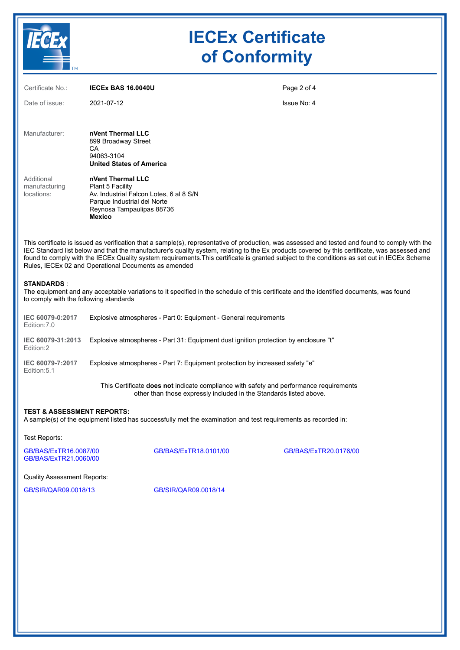

| Certificate No.:                                            | <b>IECEX BAS 16.0040U</b>                                                                                                                                     | Page 2 of 4                                                                                                                                                                                                                                                                                                                                                                                                                                      |  |
|-------------------------------------------------------------|---------------------------------------------------------------------------------------------------------------------------------------------------------------|--------------------------------------------------------------------------------------------------------------------------------------------------------------------------------------------------------------------------------------------------------------------------------------------------------------------------------------------------------------------------------------------------------------------------------------------------|--|
| Date of issue:                                              | 2021-07-12                                                                                                                                                    | Issue No: 4                                                                                                                                                                                                                                                                                                                                                                                                                                      |  |
| Manufacturer:                                               | nVent Thermal LLC<br>899 Broadway Street<br>CА<br>94063-3104<br><b>United States of America</b>                                                               |                                                                                                                                                                                                                                                                                                                                                                                                                                                  |  |
| Additional<br>manufacturing<br>locations:                   | nVent Thermal LLC<br>Plant 5 Facility<br>Av. Industrial Falcon Lotes, 6 al 8 S/N<br>Parque Industrial del Norte<br>Reynosa Tampaulipas 88736<br><b>Mexico</b> |                                                                                                                                                                                                                                                                                                                                                                                                                                                  |  |
|                                                             | Rules, IECEx 02 and Operational Documents as amended                                                                                                          | This certificate is issued as verification that a sample(s), representative of production, was assessed and tested and found to comply with the<br>IEC Standard list below and that the manufacturer's quality system, relating to the Ex products covered by this certificate, was assessed and<br>found to comply with the IECEx Quality system requirements. This certificate is granted subject to the conditions as set out in IECEx Scheme |  |
| <b>STANDARDS:</b><br>to comply with the following standards | The equipment and any acceptable variations to it specified in the schedule of this certificate and the identified documents, was found                       |                                                                                                                                                                                                                                                                                                                                                                                                                                                  |  |
| IEC 60079-0:2017<br>Edition: 7.0                            | Explosive atmospheres - Part 0: Equipment - General requirements                                                                                              |                                                                                                                                                                                                                                                                                                                                                                                                                                                  |  |
| IEC 60079-31:2013<br>Edition:2                              | Explosive atmospheres - Part 31: Equipment dust ignition protection by enclosure "t"                                                                          |                                                                                                                                                                                                                                                                                                                                                                                                                                                  |  |
| IEC 60079-7:2017<br>Edition: 5.1                            | Explosive atmospheres - Part 7: Equipment protection by increased safety "e"                                                                                  |                                                                                                                                                                                                                                                                                                                                                                                                                                                  |  |
|                                                             | This Certificate does not indicate compliance with safety and performance requirements<br>other than those expressly included in the Standards listed above.  |                                                                                                                                                                                                                                                                                                                                                                                                                                                  |  |
| <b>TEST &amp; ASSESSMENT REPORTS:</b>                       | A sample(s) of the equipment listed has successfully met the examination and test requirements as recorded in:                                                |                                                                                                                                                                                                                                                                                                                                                                                                                                                  |  |
| Test Renorts:                                               |                                                                                                                                                               |                                                                                                                                                                                                                                                                                                                                                                                                                                                  |  |

est Reports:

[GB/BAS/ExTR16.0087/00](https://www.iecex-certs.com/deliverables/REPORT/19202/view) [GB/BAS/ExTR18.0101/00](https://www.iecex-certs.com/deliverables/REPORT/20184/view) [GB/BAS/ExTR20.0176/00](https://www.iecex-certs.com/deliverables/REPORT/69408/view) [GB/BAS/ExTR21.0060/00](https://www.iecex-certs.com/deliverables/REPORT/73017/view)

Quality Assessment Reports:

[GB/SIR/QAR09.0018/13](https://www.iecex-certs.com/deliverables/REPORT/64863/view) [GB/SIR/QAR09.0018/14](https://www.iecex-certs.com/deliverables/REPORT/71103/view)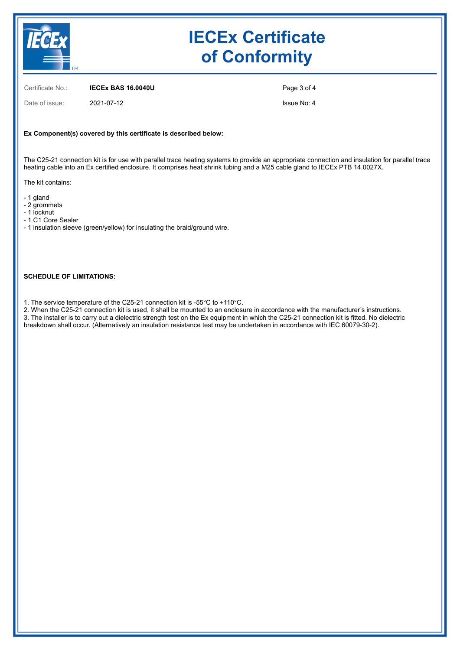

Certificate No.: **IECEx BAS 16.0040U**

Date of issue: 2021-07-12

Page 3 of 4

Issue No: 4

#### **Ex Component(s) covered by this certificate is described below:**

The C25-21 connection kit is for use with parallel trace heating systems to provide an appropriate connection and insulation for parallel trace heating cable into an Ex certified enclosure. It comprises heat shrink tubing and a M25 cable gland to IECEx PTB 14.0027X.

The kit contains:

- 1 gland
- 2 grommets
- 1 locknut
- 1 C1 Core Sealer
- 1 insulation sleeve (green/yellow) for insulating the braid/ground wire.

### **SCHEDULE OF LIMITATIONS:**

1. The service temperature of the C25-21 connection kit is -55°C to +110°C.

2. When the C25-21 connection kit is used, it shall be mounted to an enclosure in accordance with the manufacturer's instructions. 3. The installer is to carry out a dielectric strength test on the Ex equipment in which the C25-21 connection kit is fitted. No dielectric breakdown shall occur. (Alternatively an insulation resistance test may be undertaken in accordance with IEC 60079-30-2).